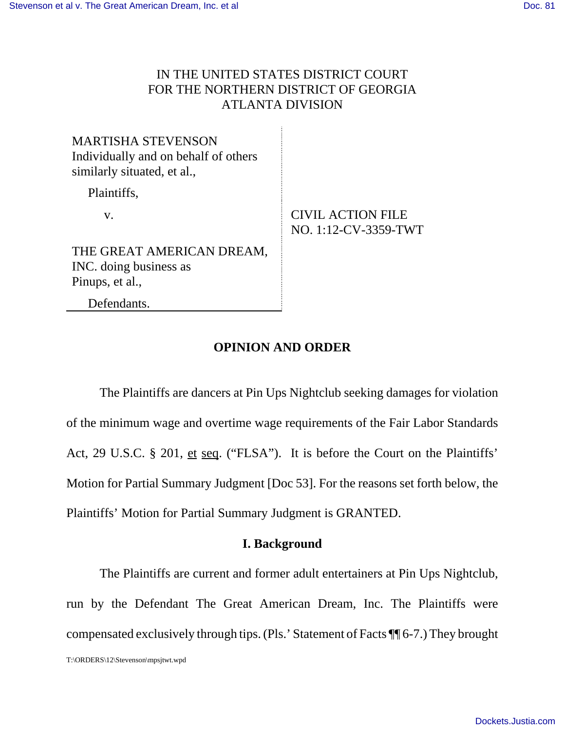## IN THE UNITED STATES DISTRICT COURT FOR THE NORTHERN DISTRICT OF GEORGIA ATLANTA DIVISION

| <b>MARTISHA STEVENSON</b><br>Individually and on behalf of others<br>similarly situated, et al., |                                                  |
|--------------------------------------------------------------------------------------------------|--------------------------------------------------|
| Plaintiffs,                                                                                      |                                                  |
| V.                                                                                               | <b>CIVIL ACTION FILE</b><br>NO. 1:12-CV-3359-TWT |
| THE GREAT AMERICAN DREAM,<br>INC. doing business as<br>Pinups, et al.,                           |                                                  |
| Defendants.                                                                                      |                                                  |

# **OPINION AND ORDER**

The Plaintiffs are dancers at Pin Ups Nightclub seeking damages for violation of the minimum wage and overtime wage requirements of the Fair Labor Standards Act, 29 U.S.C. § 201, et seq. ("FLSA"). It is before the Court on the Plaintiffs' Motion for Partial Summary Judgment [Doc 53]. For the reasons set forth below, the Plaintiffs' Motion for Partial Summary Judgment is GRANTED.

### **I. Background**

The Plaintiffs are current and former adult entertainers at Pin Ups Nightclub, run by the Defendant The Great American Dream, Inc. The Plaintiffs were compensated exclusively through tips. (Pls.' Statement of Facts ¶¶ 6-7.) They brought

T:\ORDERS\12\Stevenson\mpsjtwt.wpd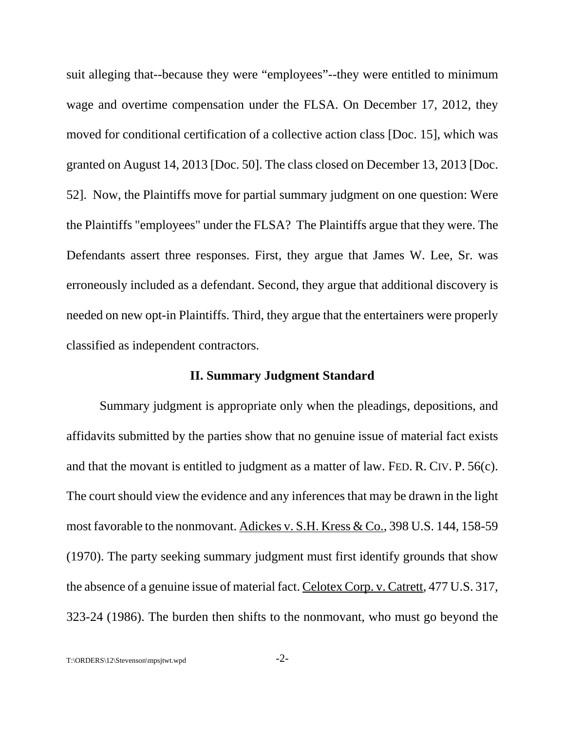suit alleging that--because they were "employees"--they were entitled to minimum wage and overtime compensation under the FLSA. On December 17, 2012, they moved for conditional certification of a collective action class [Doc. 15], which was granted on August 14, 2013 [Doc. 50]. The class closed on December 13, 2013 [Doc. 52]. Now, the Plaintiffs move for partial summary judgment on one question: Were the Plaintiffs "employees" under the FLSA? The Plaintiffs argue that they were. The Defendants assert three responses. First, they argue that James W. Lee, Sr. was erroneously included as a defendant. Second, they argue that additional discovery is needed on new opt-in Plaintiffs. Third, they argue that the entertainers were properly classified as independent contractors.

#### **II. Summary Judgment Standard**

Summary judgment is appropriate only when the pleadings, depositions, and affidavits submitted by the parties show that no genuine issue of material fact exists and that the movant is entitled to judgment as a matter of law. FED. R. CIV. P. 56(c). The court should view the evidence and any inferences that may be drawn in the light most favorable to the nonmovant. Adickes v. S.H. Kress & Co., 398 U.S. 144, 158-59 (1970). The party seeking summary judgment must first identify grounds that show the absence of a genuine issue of material fact. Celotex Corp. v. Catrett, 477 U.S. 317, 323-24 (1986). The burden then shifts to the nonmovant, who must go beyond the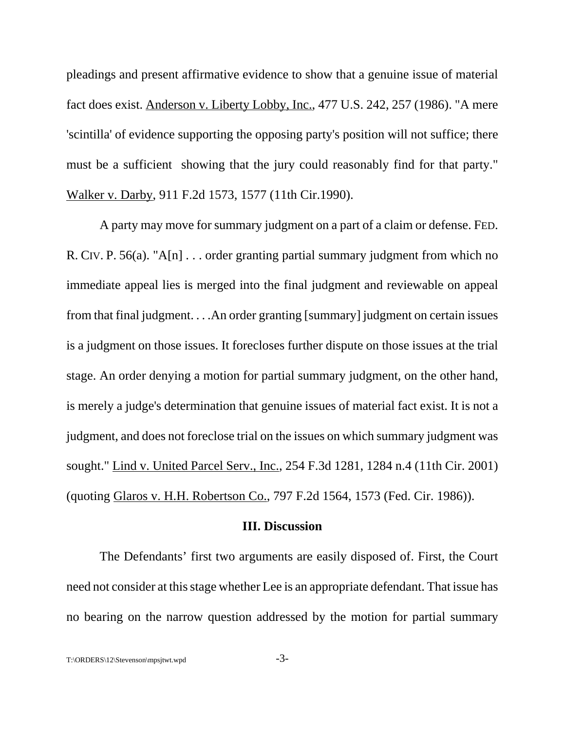pleadings and present affirmative evidence to show that a genuine issue of material fact does exist. Anderson v. Liberty Lobby, Inc., 477 U.S. 242, 257 (1986). "A mere 'scintilla' of evidence supporting the opposing party's position will not suffice; there must be a sufficient showing that the jury could reasonably find for that party." Walker v. Darby, 911 F.2d 1573, 1577 (11th Cir.1990).

A party may move for summary judgment on a part of a claim or defense. FED. R. CIV. P. 56(a). "A[n]  $\ldots$  order granting partial summary judgment from which no immediate appeal lies is merged into the final judgment and reviewable on appeal from that final judgment. . . .An order granting [summary] judgment on certain issues is a judgment on those issues. It forecloses further dispute on those issues at the trial stage. An order denying a motion for partial summary judgment, on the other hand, is merely a judge's determination that genuine issues of material fact exist. It is not a judgment, and does not foreclose trial on the issues on which summary judgment was sought." Lind v. United Parcel Serv., Inc., 254 F.3d 1281, 1284 n.4 (11th Cir. 2001) (quoting Glaros v. H.H. Robertson Co., 797 F.2d 1564, 1573 (Fed. Cir. 1986)).

#### **III. Discussion**

The Defendants' first two arguments are easily disposed of. First, the Court need not consider at this stage whether Lee is an appropriate defendant. That issue has no bearing on the narrow question addressed by the motion for partial summary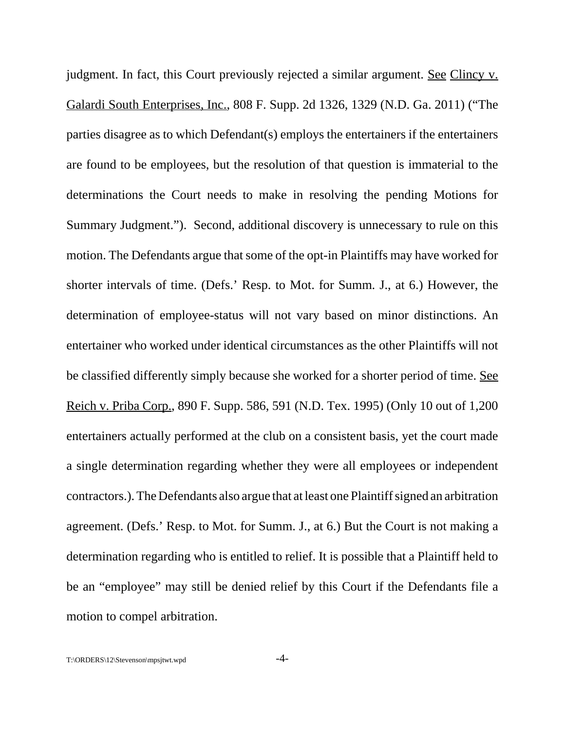judgment. In fact, this Court previously rejected a similar argument. <u>See Clincy v.</u> Galardi South Enterprises, Inc., 808 F. Supp. 2d 1326, 1329 (N.D. Ga. 2011) ("The parties disagree as to which Defendant(s) employs the entertainers if the entertainers are found to be employees, but the resolution of that question is immaterial to the determinations the Court needs to make in resolving the pending Motions for Summary Judgment."). Second, additional discovery is unnecessary to rule on this motion. The Defendants argue that some of the opt-in Plaintiffs may have worked for shorter intervals of time. (Defs.' Resp. to Mot. for Summ. J., at 6.) However, the determination of employee-status will not vary based on minor distinctions. An entertainer who worked under identical circumstances as the other Plaintiffs will not be classified differently simply because she worked for a shorter period of time. See Reich v. Priba Corp., 890 F. Supp. 586, 591 (N.D. Tex. 1995) (Only 10 out of 1,200 entertainers actually performed at the club on a consistent basis, yet the court made a single determination regarding whether they were all employees or independent contractors.). The Defendants also argue that at least one Plaintiff signed an arbitration agreement. (Defs.' Resp. to Mot. for Summ. J., at 6.) But the Court is not making a determination regarding who is entitled to relief. It is possible that a Plaintiff held to be an "employee" may still be denied relief by this Court if the Defendants file a motion to compel arbitration.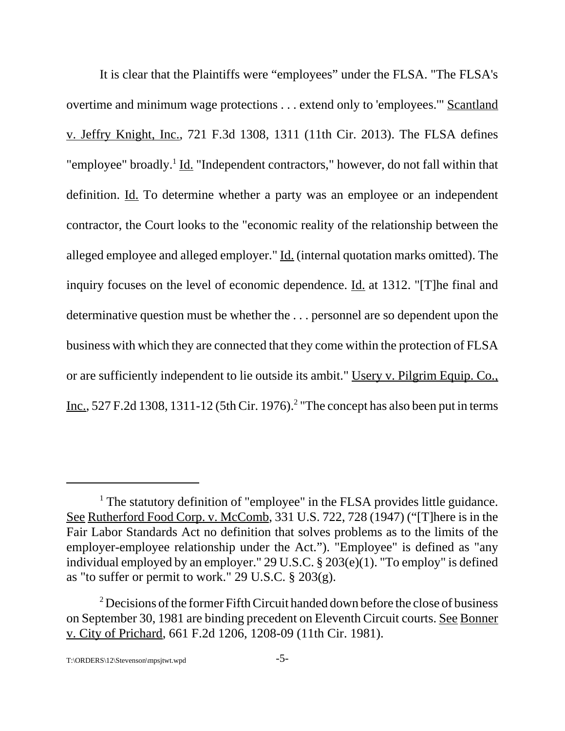It is clear that the Plaintiffs were "employees" under the FLSA. "The FLSA's overtime and minimum wage protections . . . extend only to 'employees.'" Scantland v. Jeffry Knight, Inc., 721 F.3d 1308, 1311 (11th Cir. 2013). The FLSA defines "employee" broadly.<sup>1</sup> Id. "Independent contractors," however, do not fall within that definition. Id. To determine whether a party was an employee or an independent contractor, the Court looks to the "economic reality of the relationship between the alleged employee and alleged employer." Id. (internal quotation marks omitted). The inquiry focuses on the level of economic dependence. Id. at 1312. "[T]he final and determinative question must be whether the . . . personnel are so dependent upon the business with which they are connected that they come within the protection of FLSA or are sufficiently independent to lie outside its ambit." Usery v. Pilgrim Equip. Co., Inc., 527 F.2d 1308, 1311-12 (5th Cir. 1976).<sup>2</sup> "The concept has also been put in terms

<sup>&</sup>lt;sup>1</sup> The statutory definition of "employee" in the FLSA provides little guidance. See Rutherford Food Corp. v. McComb, 331 U.S. 722, 728 (1947) ("There is in the Fair Labor Standards Act no definition that solves problems as to the limits of the employer-employee relationship under the Act."). "Employee" is defined as "any individual employed by an employer." 29 U.S.C. § 203(e)(1). "To employ" is defined as "to suffer or permit to work." 29 U.S.C. § 203(g).

 $2$  Decisions of the former Fifth Circuit handed down before the close of business on September 30, 1981 are binding precedent on Eleventh Circuit courts. See Bonner v. City of Prichard, 661 F.2d 1206, 1208-09 (11th Cir. 1981).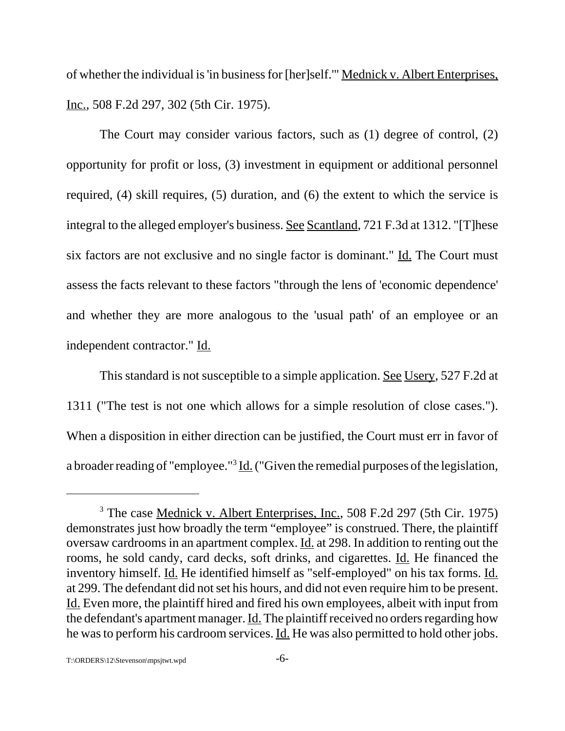of whether the individual is 'in business for [her]self.'" Mednick v. Albert Enterprises, Inc., 508 F.2d 297, 302 (5th Cir. 1975).

The Court may consider various factors, such as (1) degree of control, (2) opportunity for profit or loss, (3) investment in equipment or additional personnel required, (4) skill requires, (5) duration, and (6) the extent to which the service is integral to the alleged employer's business. See Scantland, 721 F.3d at 1312. "[T]hese six factors are not exclusive and no single factor is dominant." Id. The Court must assess the facts relevant to these factors "through the lens of 'economic dependence' and whether they are more analogous to the 'usual path' of an employee or an independent contractor." Id.

This standard is not susceptible to a simple application. See Usery, 527 F.2d at 1311 ("The test is not one which allows for a simple resolution of close cases."). When a disposition in either direction can be justified, the Court must err in favor of a broader reading of "employee."<sup>3</sup> Id. ("Given the remedial purposes of the legislation,

<sup>&</sup>lt;sup>3</sup> The case Mednick v. Albert Enterprises, Inc., 508 F.2d 297 (5th Cir. 1975) demonstrates just how broadly the term "employee" is construed. There, the plaintiff oversaw cardrooms in an apartment complex. Id. at 298. In addition to renting out the rooms, he sold candy, card decks, soft drinks, and cigarettes. Id. He financed the inventory himself. Id. He identified himself as "self-employed" on his tax forms. Id. at 299. The defendant did not set his hours, and did not even require him to be present. Id. Even more, the plaintiff hired and fired his own employees, albeit with input from the defendant's apartment manager. Id. The plaintiff received no orders regarding how he was to perform his cardroom services. Id. He was also permitted to hold other jobs.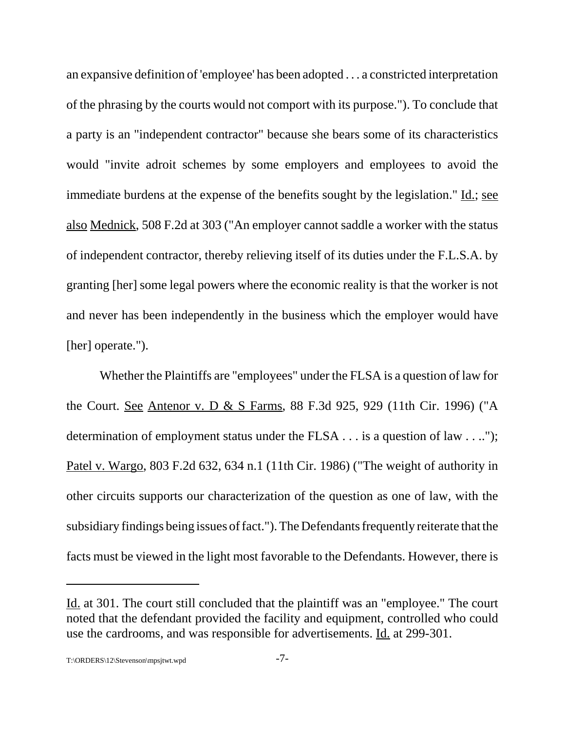an expansive definition of 'employee' has been adopted . . . a constricted interpretation of the phrasing by the courts would not comport with its purpose."). To conclude that a party is an "independent contractor" because she bears some of its characteristics would "invite adroit schemes by some employers and employees to avoid the immediate burdens at the expense of the benefits sought by the legislation." <u>Id.; see</u> also Mednick, 508 F.2d at 303 ("An employer cannot saddle a worker with the status of independent contractor, thereby relieving itself of its duties under the F.L.S.A. by granting [her] some legal powers where the economic reality is that the worker is not and never has been independently in the business which the employer would have [her] operate.").

Whether the Plaintiffs are "employees" under the FLSA is a question of law for the Court. See Antenor v. D & S Farms, 88 F.3d 925, 929 (11th Cir. 1996) ("A determination of employment status under the FLSA . . . is a question of law . . .."); Patel v. Wargo, 803 F.2d 632, 634 n.1 (11th Cir. 1986) ("The weight of authority in other circuits supports our characterization of the question as one of law, with the subsidiary findings being issues of fact."). The Defendants frequently reiterate that the facts must be viewed in the light most favorable to the Defendants. However, there is

Id. at 301. The court still concluded that the plaintiff was an "employee." The court noted that the defendant provided the facility and equipment, controlled who could use the cardrooms, and was responsible for advertisements. Id. at 299-301.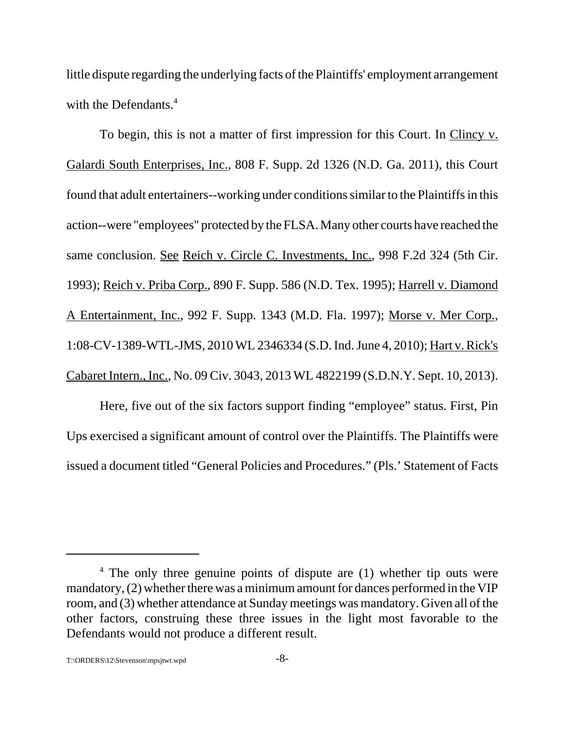little dispute regarding the underlying facts of the Plaintiffs' employment arrangement with the Defendants.<sup>4</sup>

To begin, this is not a matter of first impression for this Court. In Clincy v. Galardi South Enterprises, Inc., 808 F. Supp. 2d 1326 (N.D. Ga. 2011), this Court found that adult entertainers--working under conditions similar to the Plaintiffs in this action--were "employees" protected by the FLSA. Many other courts have reached the same conclusion. See Reich v. Circle C. Investments, Inc., 998 F.2d 324 (5th Cir. 1993); Reich v. Priba Corp., 890 F. Supp. 586 (N.D. Tex. 1995); Harrell v. Diamond A Entertainment, Inc., 992 F. Supp. 1343 (M.D. Fla. 1997); Morse v. Mer Corp., 1:08-CV-1389-WTL-JMS, 2010 WL 2346334 (S.D. Ind. June 4, 2010); Hart v. Rick's Cabaret Intern., Inc., No. 09 Civ. 3043, 2013 WL 4822199 (S.D.N.Y. Sept. 10, 2013).

Here, five out of the six factors support finding "employee" status. First, Pin Ups exercised a significant amount of control over the Plaintiffs. The Plaintiffs were issued a document titled "General Policies and Procedures." (Pls.' Statement of Facts

<sup>&</sup>lt;sup>4</sup> The only three genuine points of dispute are (1) whether tip outs were mandatory, (2) whether there was a minimum amount for dances performed in the VIP room, and (3) whether attendance at Sunday meetings was mandatory. Given all of the other factors, construing these three issues in the light most favorable to the Defendants would not produce a different result.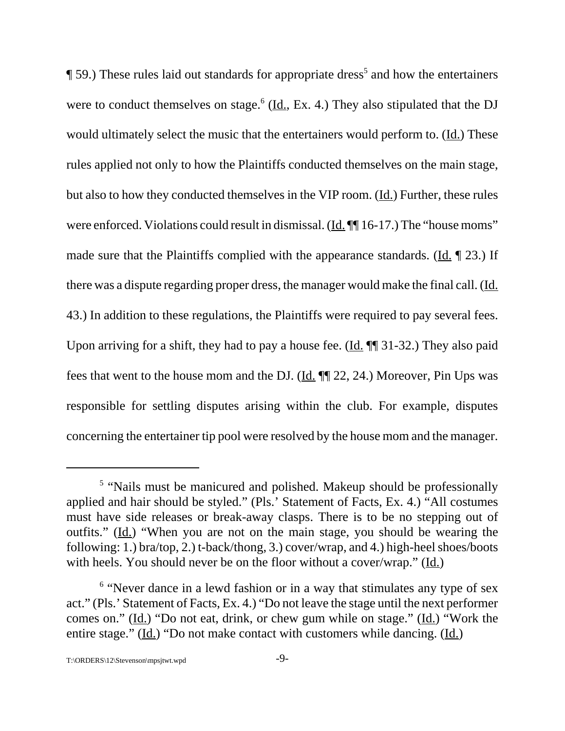$\P$  59.) These rules laid out standards for appropriate dress<sup>5</sup> and how the entertainers were to conduct themselves on stage.<sup>6</sup> ( $\underline{Id}$ , Ex. 4.) They also stipulated that the DJ would ultimately select the music that the entertainers would perform to. (Id.) These rules applied not only to how the Plaintiffs conducted themselves on the main stage, but also to how they conducted themselves in the VIP room. (Id.) Further, these rules were enforced. Violations could result in dismissal. (Id. ¶ 16-17.) The "house moms" made sure that the Plaintiffs complied with the appearance standards. (Id. ¶ 23.) If there was a dispute regarding proper dress, the manager would make the final call. (Id. 43.) In addition to these regulations, the Plaintiffs were required to pay several fees. Upon arriving for a shift, they had to pay a house fee.  $(\underline{Id}$ .  $\P\P$  31-32.) They also paid fees that went to the house mom and the DJ. (Id. ¶¶ 22, 24.) Moreover, Pin Ups was responsible for settling disputes arising within the club. For example, disputes concerning the entertainer tip pool were resolved by the house mom and the manager.

<sup>&</sup>lt;sup>5</sup> "Nails must be manicured and polished. Makeup should be professionally applied and hair should be styled." (Pls.' Statement of Facts, Ex. 4.) "All costumes must have side releases or break-away clasps. There is to be no stepping out of outfits." (Id.) "When you are not on the main stage, you should be wearing the following: 1.) bra/top, 2.) t-back/thong, 3.) cover/wrap, and 4.) high-heel shoes/boots with heels. You should never be on the floor without a cover/wrap." (Id.)

<sup>&</sup>lt;sup>6</sup> "Never dance in a lewd fashion or in a way that stimulates any type of sex act." (Pls.' Statement of Facts, Ex. 4.) "Do not leave the stage until the next performer comes on." (Id.) "Do not eat, drink, or chew gum while on stage." (Id.) "Work the entire stage." (Id.) "Do not make contact with customers while dancing. (Id.)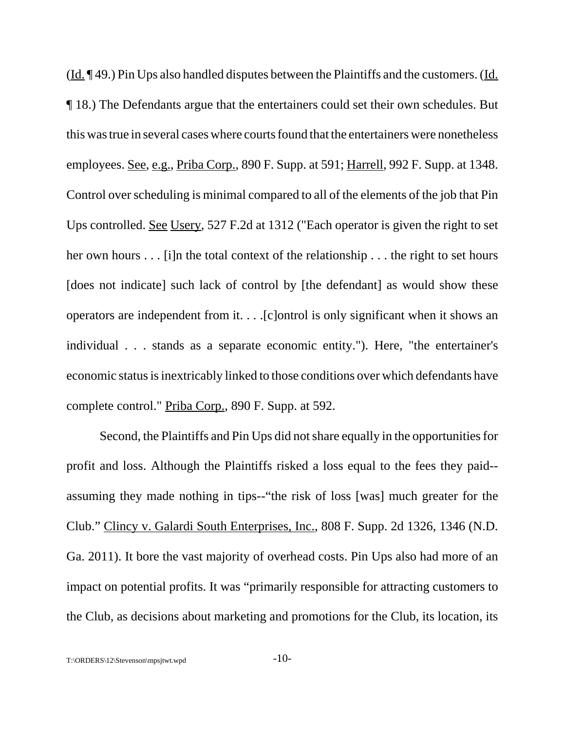$(\underline{Id}, \P 49.)$  Pin Ups also handled disputes between the Plaintiffs and the customers. (Id. ¶ 18.) The Defendants argue that the entertainers could set their own schedules. But this was true in several cases where courts found that the entertainers were nonetheless employees. See, e.g., Priba Corp., 890 F. Supp. at 591; Harrell, 992 F. Supp. at 1348. Control over scheduling is minimal compared to all of the elements of the job that Pin Ups controlled. See Usery, 527 F.2d at 1312 ("Each operator is given the right to set her own hours . . . [i]n the total context of the relationship . . . the right to set hours [does not indicate] such lack of control by [the defendant] as would show these operators are independent from it. . . .[c]ontrol is only significant when it shows an individual . . . stands as a separate economic entity."). Here, "the entertainer's economic status is inextricably linked to those conditions over which defendants have complete control." Priba Corp., 890 F. Supp. at 592.

Second, the Plaintiffs and Pin Ups did not share equally in the opportunities for profit and loss. Although the Plaintiffs risked a loss equal to the fees they paid- assuming they made nothing in tips--"the risk of loss [was] much greater for the Club." Clincy v. Galardi South Enterprises, Inc., 808 F. Supp. 2d 1326, 1346 (N.D. Ga. 2011). It bore the vast majority of overhead costs. Pin Ups also had more of an impact on potential profits. It was "primarily responsible for attracting customers to the Club, as decisions about marketing and promotions for the Club, its location, its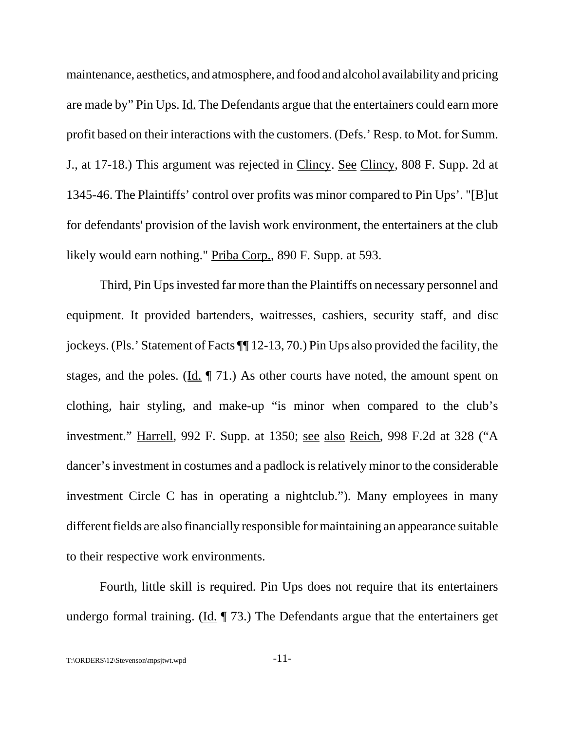maintenance, aesthetics, and atmosphere, and food and alcohol availability and pricing are made by" Pin Ups. Id. The Defendants argue that the entertainers could earn more profit based on their interactions with the customers. (Defs.' Resp. to Mot. for Summ. J., at 17-18.) This argument was rejected in Clincy. See Clincy, 808 F. Supp. 2d at 1345-46. The Plaintiffs' control over profits was minor compared to Pin Ups'. "[B]ut for defendants' provision of the lavish work environment, the entertainers at the club likely would earn nothing." Priba Corp., 890 F. Supp. at 593.

Third, Pin Ups invested far more than the Plaintiffs on necessary personnel and equipment. It provided bartenders, waitresses, cashiers, security staff, and disc jockeys. (Pls.' Statement of Facts ¶¶ 12-13, 70.) Pin Ups also provided the facility, the stages, and the poles. (Id. ¶ 71.) As other courts have noted, the amount spent on clothing, hair styling, and make-up "is minor when compared to the club's investment." Harrell, 992 F. Supp. at 1350; see also Reich, 998 F.2d at 328 ("A dancer's investment in costumes and a padlock is relatively minor to the considerable investment Circle C has in operating a nightclub."). Many employees in many different fields are also financially responsible for maintaining an appearance suitable to their respective work environments.

Fourth, little skill is required. Pin Ups does not require that its entertainers undergo formal training. (Id.  $\P$  73.) The Defendants argue that the entertainers get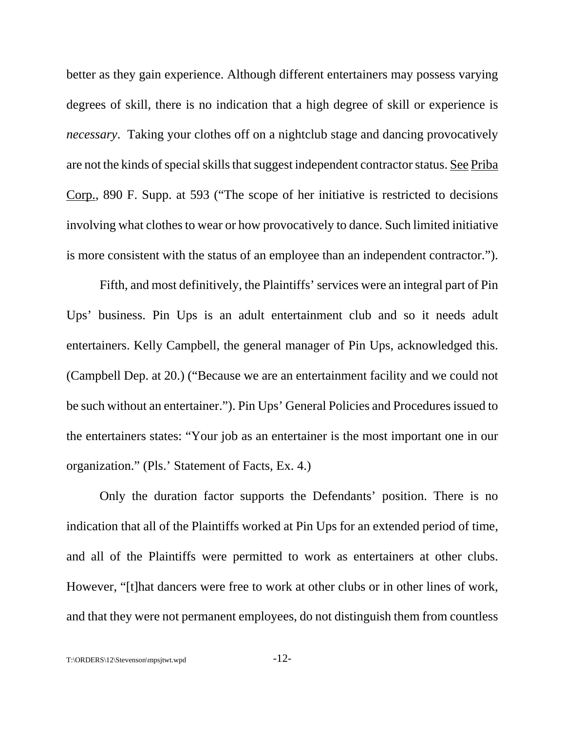better as they gain experience. Although different entertainers may possess varying degrees of skill, there is no indication that a high degree of skill or experience is *necessary*. Taking your clothes off on a nightclub stage and dancing provocatively are not the kinds of special skills that suggest independent contractor status. See Priba Corp., 890 F. Supp. at 593 ("The scope of her initiative is restricted to decisions involving what clothes to wear or how provocatively to dance. Such limited initiative is more consistent with the status of an employee than an independent contractor.").

Fifth, and most definitively, the Plaintiffs' services were an integral part of Pin Ups' business. Pin Ups is an adult entertainment club and so it needs adult entertainers. Kelly Campbell, the general manager of Pin Ups, acknowledged this. (Campbell Dep. at 20.) ("Because we are an entertainment facility and we could not be such without an entertainer."). Pin Ups' General Policies and Procedures issued to the entertainers states: "Your job as an entertainer is the most important one in our organization." (Pls.' Statement of Facts, Ex. 4.)

Only the duration factor supports the Defendants' position. There is no indication that all of the Plaintiffs worked at Pin Ups for an extended period of time, and all of the Plaintiffs were permitted to work as entertainers at other clubs. However, "[t]hat dancers were free to work at other clubs or in other lines of work, and that they were not permanent employees, do not distinguish them from countless